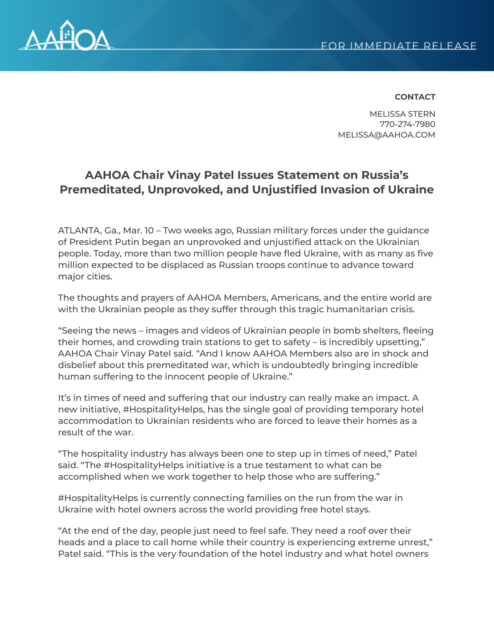

## **CONTACT**

MELISSA STERN 770-274-7980 MELISSA@AAHOA.COM

## **AAHOA Chair Vinay Patel Issues Statement on Russia's Premeditated, Unprovoked, and Unjustified Invasion of Ukraine**

ATLANTA, Ga., Mar. 10 – Two weeks ago, Russian military forces under the guidance of President Putin began an unprovoked and unjustified attack on the Ukrainian people. Today, more than two million people have fled Ukraine, with as many as five million expected to be displaced as Russian troops continue to advance toward major cities.

The thoughts and prayers of AAHOA Members, Americans, and the entire world are with the Ukrainian people as they suffer through this tragic humanitarian crisis.

"Seeing the news – images and videos of Ukrainian people in bomb shelters, fleeing their homes, and crowding train stations to get to safety – is incredibly upsetting," AAHOA Chair Vinay Patel said. "And I know AAHOA Members also are in shock and disbelief about this premeditated war, which is undoubtedly bringing incredible human suffering to the innocent people of Ukraine."

It's in times of need and suffering that our industry can really make an impact. A new initiative, #HospitalityHelps, has the single goal of providing temporary hotel accommodation to Ukrainian residents who are forced to leave their homes as a result of the war.

"The hospitality industry has always been one to step up in times of need," Patel said. "The #HospitalityHelps initiative is a true testament to what can be accomplished when we work together to help those who are suffering."

#HospitalityHelps is currently connecting families on the run from the war in Ukraine with hotel owners across the world providing free hotel stays.

"At the end of the day, people just need to feel safe. They need a roof over their heads and a place to call home while their country is experiencing extreme unrest," Patel said. "This is the very foundation of the hotel industry and what hotel owners